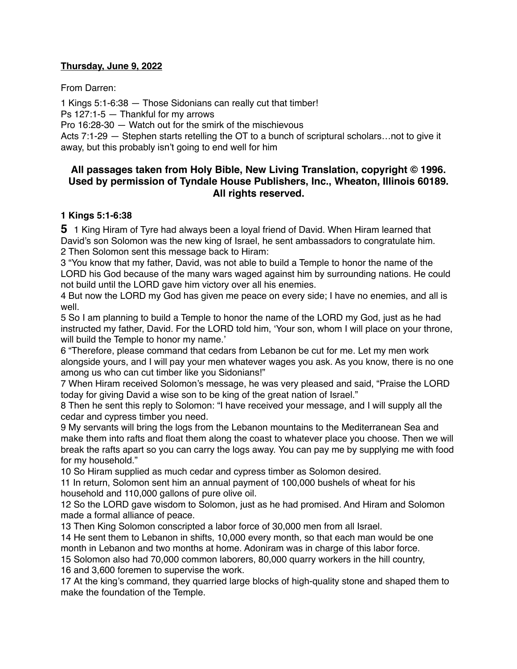## **Thursday, June 9, 2022**

From Darren:

1 Kings 5:1-6:38 — Those Sidonians can really cut that timber! Ps 127:1-5 — Thankful for my arrows Pro 16:28-30 — Watch out for the smirk of the mischievous Acts 7:1-29 — Stephen starts retelling the OT to a bunch of scriptural scholars…not to give it away, but this probably isn't going to end well for him

# **All passages taken from Holy Bible, [New Living Translation](http://www.newlivingtranslation.com/), copyright © 1996. Used by permission of [Tyndale House Publishers](http://tyndale.com/), Inc., Wheaton, Illinois 60189. All rights reserved.**

## **1 Kings 5:1-6:38**

**5** 1 King Hiram of Tyre had always been a loyal friend of David. When Hiram learned that David's son Solomon was the new king of Israel, he sent ambassadors to congratulate him. 2 Then Solomon sent this message back to Hiram:

3 "You know that my father, David, was not able to build a Temple to honor the name of the LORD his God because of the many wars waged against him by surrounding nations. He could not build until the LORD gave him victory over all his enemies.

4 But now the LORD my God has given me peace on every side; I have no enemies, and all is well.

5 So I am planning to build a Temple to honor the name of the LORD my God, just as he had instructed my father, David. For the LORD told him, 'Your son, whom I will place on your throne, will build the Temple to honor my name.'

6 "Therefore, please command that cedars from Lebanon be cut for me. Let my men work alongside yours, and I will pay your men whatever wages you ask. As you know, there is no one among us who can cut timber like you Sidonians!"

7 When Hiram received Solomon's message, he was very pleased and said, "Praise the LORD today for giving David a wise son to be king of the great nation of Israel."

8 Then he sent this reply to Solomon: "I have received your message, and I will supply all the cedar and cypress timber you need.

9 My servants will bring the logs from the Lebanon mountains to the Mediterranean Sea and make them into rafts and float them along the coast to whatever place you choose. Then we will break the rafts apart so you can carry the logs away. You can pay me by supplying me with food for my household."

10 So Hiram supplied as much cedar and cypress timber as Solomon desired.

11 In return, Solomon sent him an annual payment of 100,000 bushels of wheat for his household and 110,000 gallons of pure olive oil.

12 So the LORD gave wisdom to Solomon, just as he had promised. And Hiram and Solomon made a formal alliance of peace.

13 Then King Solomon conscripted a labor force of 30,000 men from all Israel.

14 He sent them to Lebanon in shifts, 10,000 every month, so that each man would be one month in Lebanon and two months at home. Adoniram was in charge of this labor force.

15 Solomon also had 70,000 common laborers, 80,000 quarry workers in the hill country, 16 and 3,600 foremen to supervise the work.

17 At the king's command, they quarried large blocks of high-quality stone and shaped them to make the foundation of the Temple.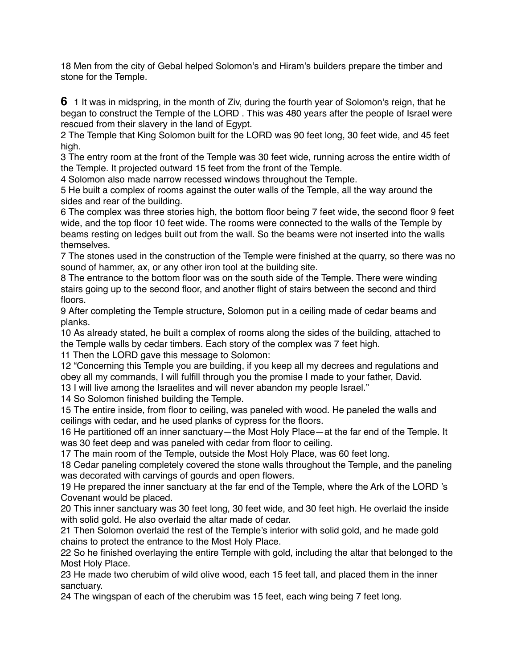18 Men from the city of Gebal helped Solomon's and Hiram's builders prepare the timber and stone for the Temple.

**6** 1 It was in midspring, in the month of Ziv, during the fourth year of Solomon's reign, that he began to construct the Temple of the LORD . This was 480 years after the people of Israel were rescued from their slavery in the land of Egypt.

2 The Temple that King Solomon built for the LORD was 90 feet long, 30 feet wide, and 45 feet high.

3 The entry room at the front of the Temple was 30 feet wide, running across the entire width of the Temple. It projected outward 15 feet from the front of the Temple.

4 Solomon also made narrow recessed windows throughout the Temple.

5 He built a complex of rooms against the outer walls of the Temple, all the way around the sides and rear of the building.

6 The complex was three stories high, the bottom floor being 7 feet wide, the second floor 9 feet wide, and the top floor 10 feet wide. The rooms were connected to the walls of the Temple by beams resting on ledges built out from the wall. So the beams were not inserted into the walls themselves.

7 The stones used in the construction of the Temple were finished at the quarry, so there was no sound of hammer, ax, or any other iron tool at the building site.

8 The entrance to the bottom floor was on the south side of the Temple. There were winding stairs going up to the second floor, and another flight of stairs between the second and third floors.

9 After completing the Temple structure, Solomon put in a ceiling made of cedar beams and planks.

10 As already stated, he built a complex of rooms along the sides of the building, attached to the Temple walls by cedar timbers. Each story of the complex was 7 feet high.

11 Then the LORD gave this message to Solomon:

12 "Concerning this Temple you are building, if you keep all my decrees and regulations and obey all my commands, I will fulfill through you the promise I made to your father, David. 13 I will live among the Israelites and will never abandon my people Israel."

14 So Solomon finished building the Temple.

15 The entire inside, from floor to ceiling, was paneled with wood. He paneled the walls and ceilings with cedar, and he used planks of cypress for the floors.

16 He partitioned off an inner sanctuary—the Most Holy Place—at the far end of the Temple. It was 30 feet deep and was paneled with cedar from floor to ceiling.

17 The main room of the Temple, outside the Most Holy Place, was 60 feet long.

18 Cedar paneling completely covered the stone walls throughout the Temple, and the paneling was decorated with carvings of gourds and open flowers.

19 He prepared the inner sanctuary at the far end of the Temple, where the Ark of the LORD 's Covenant would be placed.

20 This inner sanctuary was 30 feet long, 30 feet wide, and 30 feet high. He overlaid the inside with solid gold. He also overlaid the altar made of cedar.

21 Then Solomon overlaid the rest of the Temple's interior with solid gold, and he made gold chains to protect the entrance to the Most Holy Place.

22 So he finished overlaying the entire Temple with gold, including the altar that belonged to the Most Holy Place.

23 He made two cherubim of wild olive wood, each 15 feet tall, and placed them in the inner sanctuary.

24 The wingspan of each of the cherubim was 15 feet, each wing being 7 feet long.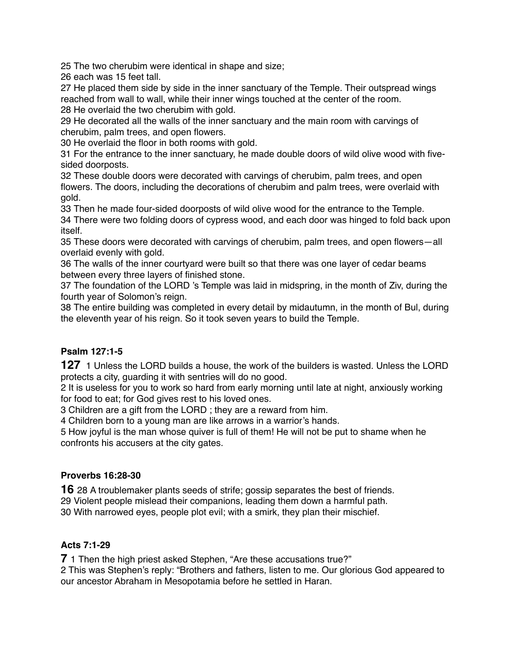25 The two cherubim were identical in shape and size;

26 each was 15 feet tall.

27 He placed them side by side in the inner sanctuary of the Temple. Their outspread wings reached from wall to wall, while their inner wings touched at the center of the room.

28 He overlaid the two cherubim with gold. 29 He decorated all the walls of the inner sanctuary and the main room with carvings of cherubim, palm trees, and open flowers.

30 He overlaid the floor in both rooms with gold.

31 For the entrance to the inner sanctuary, he made double doors of wild olive wood with fivesided doorposts.

32 These double doors were decorated with carvings of cherubim, palm trees, and open flowers. The doors, including the decorations of cherubim and palm trees, were overlaid with gold.

33 Then he made four-sided doorposts of wild olive wood for the entrance to the Temple. 34 There were two folding doors of cypress wood, and each door was hinged to fold back upon itself.

35 These doors were decorated with carvings of cherubim, palm trees, and open flowers—all overlaid evenly with gold.

36 The walls of the inner courtyard were built so that there was one layer of cedar beams between every three layers of finished stone.

37 The foundation of the LORD 's Temple was laid in midspring, in the month of Ziv, during the fourth year of Solomon's reign.

38 The entire building was completed in every detail by midautumn, in the month of Bul, during the eleventh year of his reign. So it took seven years to build the Temple.

# **Psalm 127:1-5**

**127** 1 Unless the LORD builds a house, the work of the builders is wasted. Unless the LORD protects a city, guarding it with sentries will do no good.

2 It is useless for you to work so hard from early morning until late at night, anxiously working for food to eat; for God gives rest to his loved ones.

3 Children are a gift from the LORD ; they are a reward from him.

4 Children born to a young man are like arrows in a warrior's hands.

5 How joyful is the man whose quiver is full of them! He will not be put to shame when he confronts his accusers at the city gates.

# **Proverbs 16:28-30**

**16** 28 A troublemaker plants seeds of strife; gossip separates the best of friends. 29 Violent people mislead their companions, leading them down a harmful path. 30 With narrowed eyes, people plot evil; with a smirk, they plan their mischief.

# **Acts 7:1-29**

**7** 1 Then the high priest asked Stephen, "Are these accusations true?"

2 This was Stephen's reply: "Brothers and fathers, listen to me. Our glorious God appeared to our ancestor Abraham in Mesopotamia before he settled in Haran.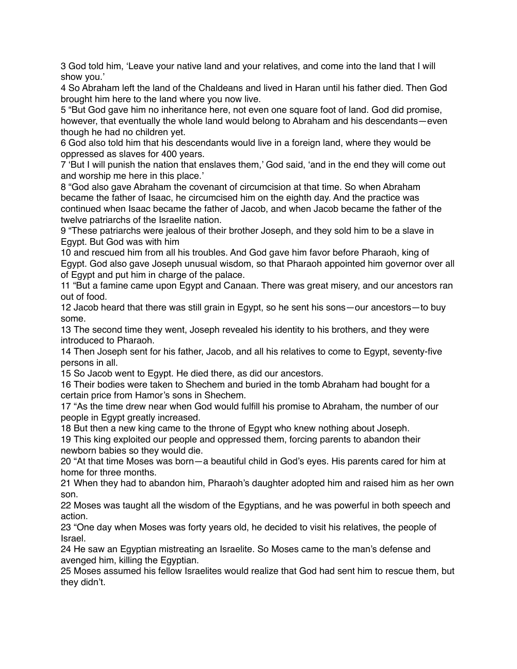3 God told him, 'Leave your native land and your relatives, and come into the land that I will show you.'

4 So Abraham left the land of the Chaldeans and lived in Haran until his father died. Then God brought him here to the land where you now live.

5 "But God gave him no inheritance here, not even one square foot of land. God did promise, however, that eventually the whole land would belong to Abraham and his descendants—even though he had no children yet.

6 God also told him that his descendants would live in a foreign land, where they would be oppressed as slaves for 400 years.

7 'But I will punish the nation that enslaves them,' God said, 'and in the end they will come out and worship me here in this place.'

8 "God also gave Abraham the covenant of circumcision at that time. So when Abraham became the father of Isaac, he circumcised him on the eighth day. And the practice was continued when Isaac became the father of Jacob, and when Jacob became the father of the twelve patriarchs of the Israelite nation.

9 "These patriarchs were jealous of their brother Joseph, and they sold him to be a slave in Egypt. But God was with him

10 and rescued him from all his troubles. And God gave him favor before Pharaoh, king of Egypt. God also gave Joseph unusual wisdom, so that Pharaoh appointed him governor over all of Egypt and put him in charge of the palace.

11 "But a famine came upon Egypt and Canaan. There was great misery, and our ancestors ran out of food.

12 Jacob heard that there was still grain in Egypt, so he sent his sons—our ancestors—to buy some.

13 The second time they went, Joseph revealed his identity to his brothers, and they were introduced to Pharaoh.

14 Then Joseph sent for his father, Jacob, and all his relatives to come to Egypt, seventy-five persons in all.

15 So Jacob went to Egypt. He died there, as did our ancestors.

16 Their bodies were taken to Shechem and buried in the tomb Abraham had bought for a certain price from Hamor's sons in Shechem.

17 "As the time drew near when God would fulfill his promise to Abraham, the number of our people in Egypt greatly increased.

18 But then a new king came to the throne of Egypt who knew nothing about Joseph.

19 This king exploited our people and oppressed them, forcing parents to abandon their newborn babies so they would die.

20 "At that time Moses was born—a beautiful child in God's eyes. His parents cared for him at home for three months.

21 When they had to abandon him, Pharaoh's daughter adopted him and raised him as her own son.

22 Moses was taught all the wisdom of the Egyptians, and he was powerful in both speech and action.

23 "One day when Moses was forty years old, he decided to visit his relatives, the people of Israel.

24 He saw an Egyptian mistreating an Israelite. So Moses came to the man's defense and avenged him, killing the Egyptian.

25 Moses assumed his fellow Israelites would realize that God had sent him to rescue them, but they didn't.